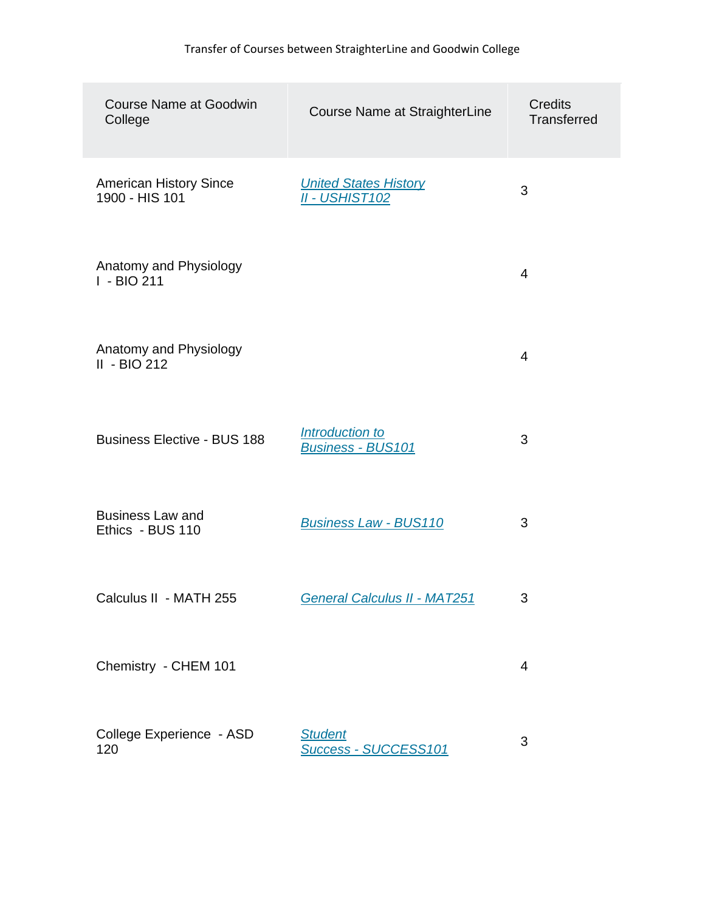| <b>Course Name at Goodwin</b><br>College        | Course Name at StraighterLine                         | <b>Credits</b><br><b>Transferred</b> |
|-------------------------------------------------|-------------------------------------------------------|--------------------------------------|
| <b>American History Since</b><br>1900 - HIS 101 | <b>United States History</b><br><b>II - USHIST102</b> | 3                                    |
| Anatomy and Physiology<br>I - BIO 211           |                                                       | 4                                    |
| Anatomy and Physiology<br>$II - BIO212$         |                                                       | 4                                    |
| <b>Business Elective - BUS 188</b>              | Introduction to<br><b>Business - BUS101</b>           | 3                                    |
| <b>Business Law and</b><br>Ethics - BUS 110     | <b>Business Law - BUS110</b>                          | 3                                    |
| Calculus II - MATH 255                          | <b>General Calculus II - MAT251</b>                   | 3                                    |
| Chemistry - CHEM 101                            |                                                       | $\overline{4}$                       |
| College Experience - ASD<br>120                 | <b>Student</b><br>Success - SUCCESS101                | 3                                    |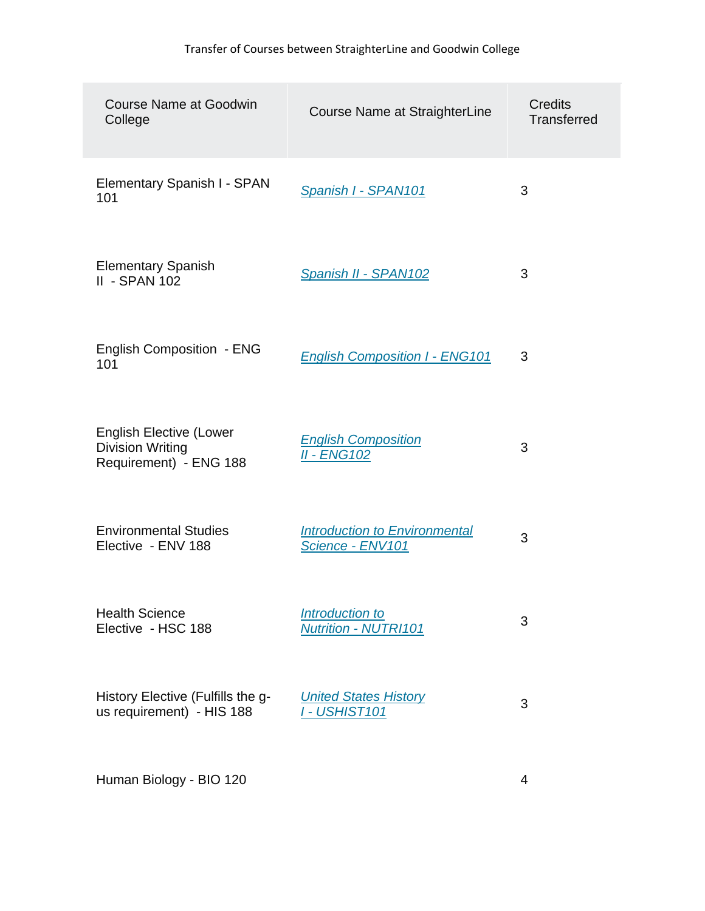| <b>Course Name at Goodwin</b><br>College                                            | Course Name at StraighterLine                            | <b>Credits</b><br><b>Transferred</b> |
|-------------------------------------------------------------------------------------|----------------------------------------------------------|--------------------------------------|
| Elementary Spanish I - SPAN<br>101                                                  | <b>Spanish I - SPAN101</b>                               | 3                                    |
| <b>Elementary Spanish</b><br><b>II - SPAN 102</b>                                   | Spanish II - SPAN102                                     | 3                                    |
| <b>English Composition - ENG</b><br>101                                             | <b>English Composition I - ENG101</b>                    | 3                                    |
| <b>English Elective (Lower</b><br><b>Division Writing</b><br>Requirement) - ENG 188 | <b>English Composition</b><br><b>II - ENG102</b>         | 3                                    |
| <b>Environmental Studies</b><br>Elective - ENV 188                                  | <b>Introduction to Environmental</b><br>Science - ENV101 | 3                                    |
| <b>Health Science</b><br>Elective - HSC 188                                         | Introduction to<br><b>Nutrition - NUTRI101</b>           | 3                                    |
| History Elective (Fulfills the g-<br>us requirement) - HIS 188                      | <b>United States History</b><br><b>I - USHIST101</b>     | 3                                    |
| Human Biology - BIO 120                                                             |                                                          | 4                                    |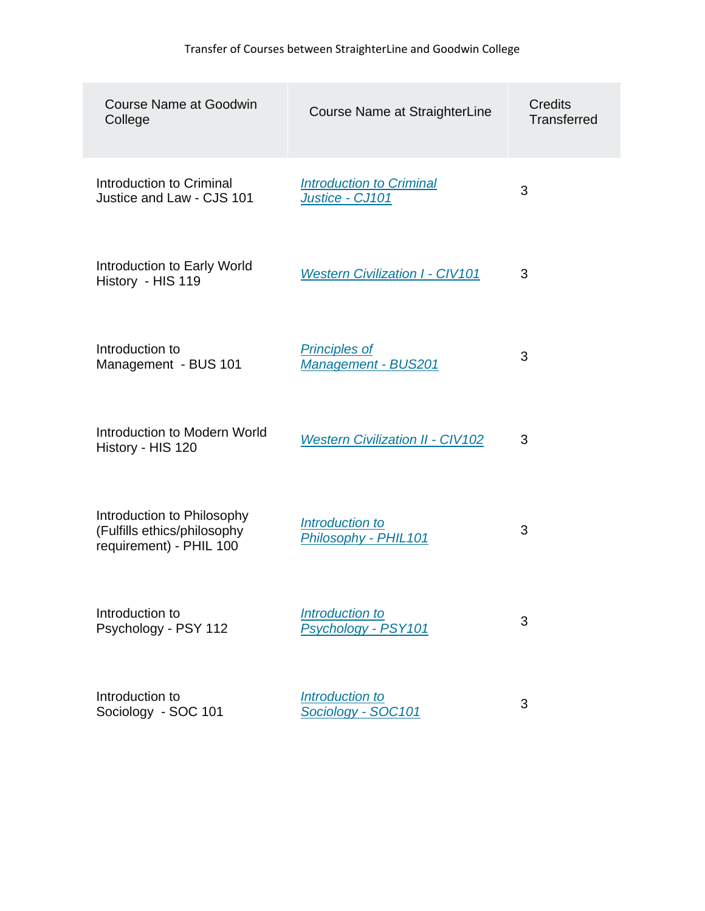| <b>Course Name at Goodwin</b><br>College                                             | Course Name at StraighterLine                      | <b>Credits</b><br><b>Transferred</b> |
|--------------------------------------------------------------------------------------|----------------------------------------------------|--------------------------------------|
| Introduction to Criminal<br>Justice and Law - CJS 101                                | <b>Introduction to Criminal</b><br>Justice - CJ101 | 3                                    |
| Introduction to Early World<br>History - HIS 119                                     | <b>Western Civilization I - CIV101</b>             | 3                                    |
| Introduction to<br>Management - BUS 101                                              | <b>Principles of</b><br><b>Management - BUS201</b> | 3                                    |
| Introduction to Modern World<br>History - HIS 120                                    | <b>Western Civilization II - CIV102</b>            | 3                                    |
| Introduction to Philosophy<br>(Fulfills ethics/philosophy<br>requirement) - PHIL 100 | Introduction to<br>Philosophy - PHIL101            | 3                                    |
| Introduction to<br>Psychology - PSY 112                                              | Introduction to<br>Psychology - PSY101             | 3                                    |
| Introduction to<br>Sociology - SOC 101                                               | Introduction to<br>Sociology - SOC101              | 3                                    |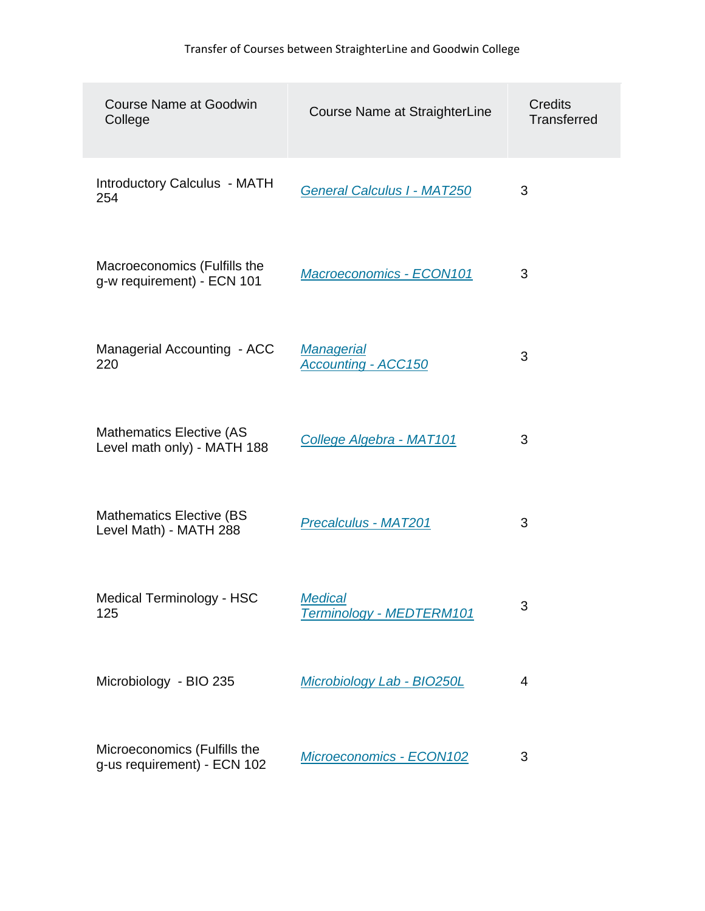| <b>Course Name at Goodwin</b><br>College                       | Course Name at StraighterLine                   | <b>Credits</b><br><b>Transferred</b> |
|----------------------------------------------------------------|-------------------------------------------------|--------------------------------------|
| Introductory Calculus - MATH<br>254                            | <b>General Calculus I - MAT250</b>              | 3                                    |
| Macroeconomics (Fulfills the<br>g-w requirement) - ECN 101     | Macroeconomics - ECON101                        | 3                                    |
| Managerial Accounting - ACC<br>220                             | <b>Managerial</b><br><b>Accounting - ACC150</b> | 3                                    |
| <b>Mathematics Elective (AS</b><br>Level math only) - MATH 188 | College Algebra - MAT101                        | 3                                    |
| <b>Mathematics Elective (BS)</b><br>Level Math) - MATH 288     | <u> Precalculus - MAT201</u>                    | 3                                    |
| Medical Terminology - HSC<br>125                               | <b>Medical</b><br>Terminology - MEDTERM101      | 3                                    |
| Microbiology - BIO 235                                         | Microbiology Lab - BIO250L                      | $\overline{4}$                       |
| Microeconomics (Fulfills the<br>g-us requirement) - ECN 102    | Microeconomics - ECON102                        | 3                                    |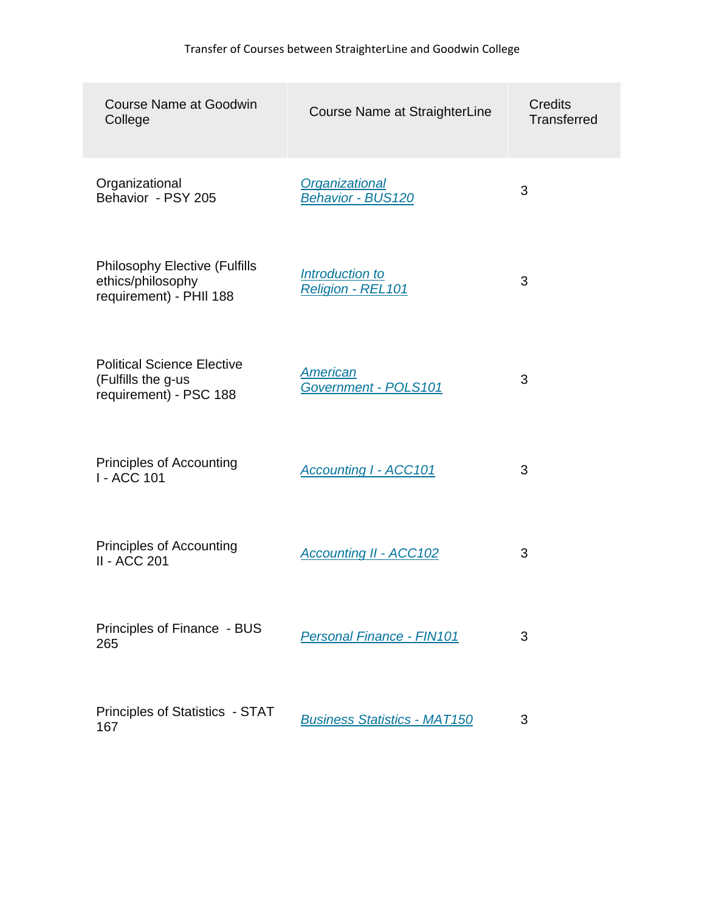| <b>Course Name at Goodwin</b><br>College                                             | Course Name at StraighterLine                     | <b>Credits</b><br><b>Transferred</b> |
|--------------------------------------------------------------------------------------|---------------------------------------------------|--------------------------------------|
| Organizational<br>Behavior - PSY 205                                                 | <b>Organizational</b><br><b>Behavior - BUS120</b> | 3                                    |
| <b>Philosophy Elective (Fulfills</b><br>ethics/philosophy<br>requirement) - PHII 188 | Introduction to<br>Religion - REL101              | 3                                    |
| <b>Political Science Elective</b><br>(Fulfills the g-us<br>requirement) - PSC 188    | <b>American</b><br>Government - POLS101           | 3                                    |
| <b>Principles of Accounting</b><br>I - ACC 101                                       | <b>Accounting I - ACC101</b>                      | 3                                    |
| <b>Principles of Accounting</b><br>II - ACC 201                                      | <b>Accounting II - ACC102</b>                     | 3                                    |
| Principles of Finance - BUS<br>265                                                   | <b>Personal Finance - FIN101</b>                  | 3                                    |
| Principles of Statistics - STAT<br>167                                               | <b>Business Statistics - MAT150</b>               | 3                                    |